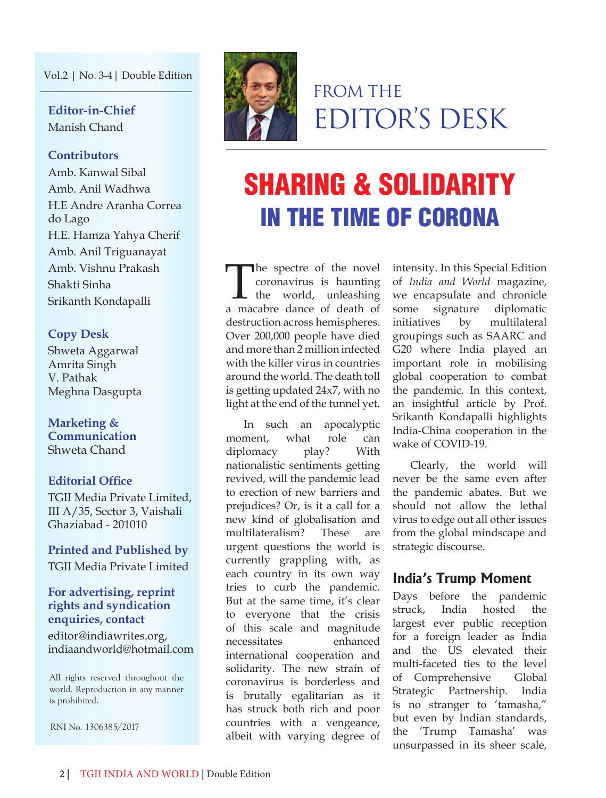### **Editor-in-Chief**  Manish Chand

### **Contributors**

Amb. Kanwal Sibal Amb. Anil Wadhwa H.E Andre Aranha Correa do Lago H.E. Hamza Yahya Cherif Amb. Anil Triguanayat Amb. Vishnu Prakash Shakti Sinha Srikanth Kondapalli

### **Copy Desk**

Shweta Aggarwal Amrita Singh V. Pathak Meghna Dasgupta

#### **Marketing & Communication**  Shweta Chand

### **Editorial Office**

TGII Media Private Limited, III A/35, Sector 3, Vaishali Ghaziabad - 201010

**Printed and Published by** TGII Media Private Limited

### **For advertising, reprint rights and syndication enquiries, contact**

editor@indiawrites.org, indiaandworld@hotmail.com

All rights reserved throughout the world. Reproduction in any manner is prohibited.

RNI No. 1306385/2017



## FROM THE Editor's desk

# Sharing & Solidarity in the Time of Corona

The spectre of the novel coronavirus is haunting the world, unleashing a macabre dance of death of destruction across hemispheres. Over 200,000 people have died and more than 2 million infected with the killer virus in countries around the world. The death toll is getting updated 24x7, with no light at the end of the tunnel yet.

In such an apocalyptic moment, what role can diplomacy play? With nationalistic sentiments getting revived, will the pandemic lead to erection of new barriers and prejudices? Or, is it a call for a new kind of globalisation and multilateralism? These are urgent questions the world is currently grappling with, as each country in its own way tries to curb the pandemic. But at the same time, it's clear to everyone that the crisis of this scale and magnitude necessitates enhanced international cooperation and solidarity. The new strain of coronavirus is borderless and is brutally egalitarian as it has struck both rich and poor countries with a vengeance, albeit with varying degree of intensity. In this Special Edition of *India and World* magazine, we encapsulate and chronicle some signature diplomatic initiatives by multilateral groupings such as SAARC and G20 where India played an important role in mobilising global cooperation to combat the pandemic. In this context, an insightful article by Prof. Srikanth Kondapalli highlights India-China cooperation in the wake of COVID-19.

Clearly, the world will never be the same even after the pandemic abates. But we should not allow the lethal virus to edge out all other issues from the global mindscape and strategic discourse.

## **India's Trump Moment**

Days before the pandemic struck, India hosted the largest ever public reception for a foreign leader as India and the US elevated their multi-faceted ties to the level of Comprehensive Global Strategic Partnership. India is no stranger to 'tamasha," but even by Indian standards, the 'Trump Tamasha' was unsurpassed in its sheer scale,